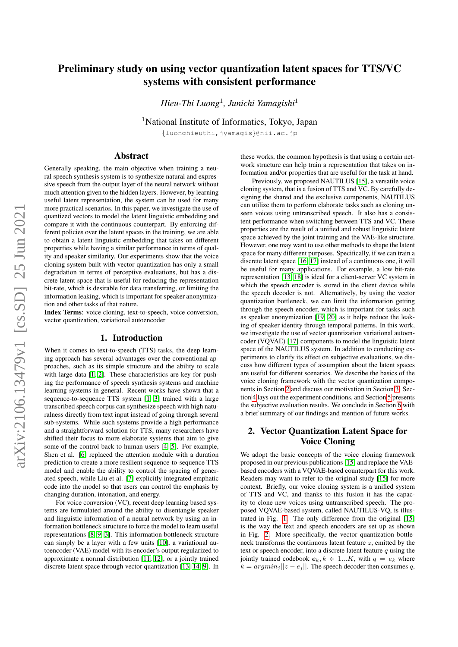# Preliminary study on using vector quantization latent spaces for TTS/VC systems with consistent performance

*Hieu-Thi Luong*<sup>1</sup> *, Junichi Yamagishi*<sup>1</sup>

<sup>1</sup>National Institute of Informatics, Tokyo, Japan

{luonghieuthi,jyamagis}@nii.ac.jp

### Abstract

Generally speaking, the main objective when training a neural speech synthesis system is to synthesize natural and expressive speech from the output layer of the neural network without much attention given to the hidden layers. However, by learning useful latent representation, the system can be used for many more practical scenarios. In this paper, we investigate the use of quantized vectors to model the latent linguistic embedding and compare it with the continuous counterpart. By enforcing different policies over the latent spaces in the training, we are able to obtain a latent linguistic embedding that takes on different properties while having a similar performance in terms of quality and speaker similarity. Our experiments show that the voice cloning system built with vector quantization has only a small degradation in terms of perceptive evaluations, but has a discrete latent space that is useful for reducing the representation bit-rate, which is desirable for data transferring, or limiting the information leaking, which is important for speaker anonymization and other tasks of that nature.

Index Terms: voice cloning, text-to-speech, voice conversion, vector quantization, variational autoencoder

### 1. Introduction

When it comes to text-to-speech (TTS) tasks, the deep learning approach has several advantages over the conventional approaches, such as its simple structure and the ability to scale with large data [\[1,](#page-5-0) [2\]](#page-5-1). These characteristics are key for pushing the performance of speech synthesis systems and machine learning systems in general. Recent works have shown that a sequence-to-sequence TTS system [\[1,](#page-5-0) [3\]](#page-5-2) trained with a large transcribed speech corpus can synthesize speech with high naturalness directly from text input instead of going through several sub-systems. While such systems provide a high performance and a straightforward solution for TTS, many researchers have shifted their focus to more elaborate systems that aim to give some of the control back to human users [\[4,](#page-5-3) [5\]](#page-5-4). For example, Shen et al. [\[6\]](#page-5-5) replaced the attention module with a duration prediction to create a more resilient sequence-to-sequence TTS model and enable the ability to control the spacing of generated speech, while Liu et al. [\[7\]](#page-5-6) explicitly integrated emphatic code into the model so that users can control the emphasis by changing duration, intonation, and energy.

For voice conversion (VC), recent deep learning based systems are formulated around the ability to disentangle speaker and linguistic information of a neural network by using an information bottleneck structure to force the model to learn useful representations [\[8,](#page-5-7) [9,](#page-5-8) [3\]](#page-5-2). This information bottleneck structure can simply be a layer with a few units [\[10\]](#page-5-9), a variational autoencoder (VAE) model with its encoder's output regularized to approximate a normal distribution [\[11,](#page-5-10) [12\]](#page-5-11), or a jointly trained discrete latent space through vector quantization [\[13,](#page-5-12) [14,](#page-5-13) [9\]](#page-5-8). In these works, the common hypothesis is that using a certain network structure can help train a representation that takes on information and/or properties that are useful for the task at hand.

Previously, we proposed NAUTILUS [\[15\]](#page-5-14), a versatile voice cloning system, that is a fusion of TTS and VC. By carefully designing the shared and the exclusive components, NAUTILUS can utilize them to perform elaborate tasks such as cloning unseen voices using untranscribed speech. It also has a consistent performance when switching between TTS and VC. These properties are the result of a unified and robust linguistic latent space achieved by the joint training and the VAE-like structure. However, one may want to use other methods to shape the latent space for many different purposes. Specifically, if we can train a discrete latent space [\[16,](#page-5-15) [17\]](#page-5-16) instead of a continuous one, it will be useful for many applications. For example, a low bit-rate representation [\[13,](#page-5-12) [18\]](#page-5-17) is ideal for a client-server VC system in which the speech encoder is stored in the client device while the speech decoder is not. Alternatively, by using the vector quantization bottleneck, we can limit the information getting through the speech encoder, which is important for tasks such as speaker anonymization [\[19,](#page-5-18) [20\]](#page-5-19) as it helps reduce the leaking of speaker identity through temporal patterns. In this work, we investigate the use of vector quantization variational autoencoder (VQVAE) [\[17\]](#page-5-16) components to model the linguistic latent space of the NAUTILUS system. In addition to conducting experiments to clarify its effect on subjective evaluations, we discuss how different types of assumption about the latent spaces are useful for different scenarios. We describe the basics of the voice cloning framework with the vector quantization components in Section [2](#page-0-0) and discuss our motivation in Section [3.](#page-2-0) Section [4](#page-3-0) lays out the experiment conditions, and Section [5](#page-3-1) presents the subjective evaluation results. We conclude in Section [6](#page-4-0) with a brief summary of our findings and mention of future works.

# <span id="page-0-0"></span>2. Vector Quantization Latent Space for Voice Cloning

We adopt the basic concepts of the voice cloning framework proposed in our previous publications [\[15\]](#page-5-14) and replace the VAEbased encoders with a VQVAE-based counterpart for this work. Readers may want to refer to the original study [\[15\]](#page-5-14) for more context. Briefly, our voice cloning system is a unified system of TTS and VC, and thanks to this fusion it has the capacity to clone new voices using untranscribed speech. The proposed VQVAE-based system, called NAUTILUS-VQ, is illustrated in Fig. [1.](#page-1-0) The only difference from the original [\[15\]](#page-5-14) is the way the text and speech encoders are set up as shown in Fig. [2.](#page-1-1) More specifically, the vector quantization bottleneck transforms the continuous latent feature z, emitted by the text or speech encoder, into a discrete latent feature  $q$  using the jointly trained codebook  $e_k, k \in 1...K$ , with  $q = e_k$  where  $k = argmin_j ||z - e_j||$ . The speech decoder then consumes q,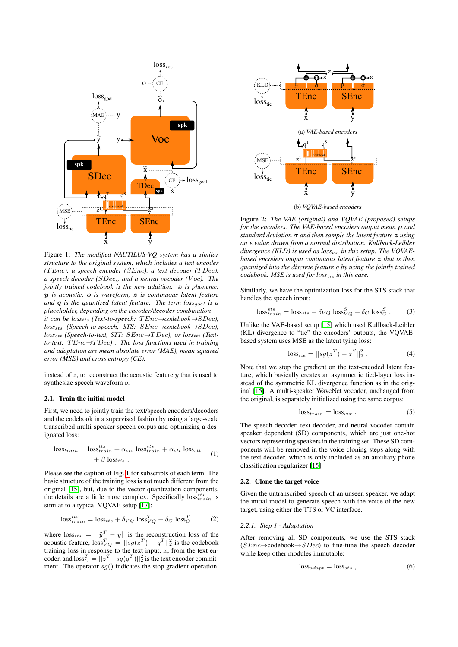<span id="page-1-0"></span>

Figure 1: *The modified NAUTILUS-VQ system has a similar structure to the original system, which includes a text encoder (*T Enc*), a speech encoder (*SEnc*), a text decoder (*T Dec*), a speech decoder (*SDec*), and a neural vocoder (*V oc*). The jointly trained codebook is the new addition.*  $x$  *is phoneme,* y *is acoustic,* o *is waveform,* z *is continuous latent feature and* q *is the quantized latent feature. The term loss*goal *is a placeholder, depending on the encoder/decoder combination it can be loss<sub>tts</sub> (Text-to-speech: TEnc→codebook→SDec), loss*sts *(Speech-to-speech, STS:* SEnc→*codebook*→SDec*), loss<sub>stt</sub>* (*Speech-to-text, STT: SEnc→TDec*), *or loss<sub>ttt</sub> (Textto-text:* T Enc→T Dec*) . The loss functions used in training and adaptation are mean absolute error (MAE), mean squared error (MSE) and cross entropy (CE).*

instead of  $z$ , to reconstruct the acoustic feature  $y$  that is used to synthesize speech waveform  $o$ .

### 2.1. Train the initial model

First, we need to jointly train the text/speech encoders/decoders and the codebook in a supervised fashion by using a large-scale transcribed multi-speaker speech corpus and optimizing a designated loss:

$$
\text{loss}_{train} = \text{loss}_{train}^{tts} + \alpha_{sts} \text{ loss}_{train}^{sts} + \alpha_{stt} \text{ loss}_{stt} \tag{1}
$$

$$
+ \beta \text{ loss}_{tie} \text{ .}
$$

Please see the caption of Fig. [1](#page-1-0) for subscripts of each term. The basic structure of the training loss is not much different from the original [\[15\]](#page-5-14), but, due to the vector quantization components, the details are a little more complex. Specifically  $loss^{its}_{train}$  is similar to a typical VQVAE setup [\[17\]](#page-5-16):

$$
\text{loss}_{train}^{tts} = \text{loss}_{tts} + \delta_{VQ} \text{ loss}_{VQ}^{T} + \delta_{C} \text{ loss}_{C}^{T} . \tag{2}
$$

where  $loss_{tts} = ||\tilde{y}^T - y||$  is the reconstruction loss of the acoustic feature,  $loss_{VQ}^T = ||sg(z^T) - q^T||_2^2$  is the codebook training loss in response to the text input,  $x$ , from the text encoder, and  $\mathrm{loss}^T_C = ||z^T - sg(q^T)||^2_2$  is the text encoder commitment. The operator  $sg()$  indicates the stop gradient operation.

<span id="page-1-1"></span>

(b) *VQVAE-based encoders*

Figure 2: *The VAE (original) and VQVAE (proposed) setups for the encoders. The VAE-based encoders output mean* µ *and standard deviation* σ *and then sample the latent feature* z *using an value drawn from a normal distribution. Kullback-Leibler divergence (KLD) is used as loss*tie *in this setup. The VQVAEbased encoders output continuous latent feature* z *that is then quantized into the discrete feature* q *by using the jointly trained codebook. MSE is used for loss*tie *in this case.*

Similarly, we have the optimization loss for the STS stack that handles the speech input:

$$
\text{loss}_{train}^{sts} = \text{loss}_{sts} + \delta_{VQ} \text{ loss}_{VQ}^{S} + \delta_{C} \text{ loss}_{C}^{S} . \tag{3}
$$

Unlike the VAE-based setup [\[15\]](#page-5-14) which used Kullback-Leibler (KL) divergence to "tie" the encoders' outputs, the VQVAEbased system uses MSE as the latent tying loss:

$$
loss_{tie} = ||sg(z^T) - z^S||_2^2.
$$
 (4)

Note that we stop the gradient on the text-encoded latent feature, which basically creates an asymmetric tied-layer loss instead of the symmetric KL divergence function as in the original [\[15\]](#page-5-14). A multi-speaker WaveNet vocoder, unchanged from the original, is separately initialized using the same corpus:

$$
\text{loss}_{train}' = \text{loss}_{voc} \tag{5}
$$

The speech decoder, text decoder, and neural vocoder contain speaker dependent (SD) components, which are just one-hot vectors representing speakers in the training set. These SD components will be removed in the voice cloning steps along with the text decoder, which is only included as an auxiliary phone classification regularizer [\[15\]](#page-5-14).

#### 2.2. Clone the target voice

Given the untranscribed speech of an unseen speaker, we adapt the initial model to generate speech with the voice of the new target, using either the TTS or VC interface.

#### *2.2.1. Step 1 - Adaptation*

After removing all SD components, we use the STS stack  $(SEnc \rightarrow codebook \rightarrow SDec)$  to fine-tune the speech decoder while keep other modules immutable:

$$
loss_{adapt} = loss_{sts} , \qquad (6)
$$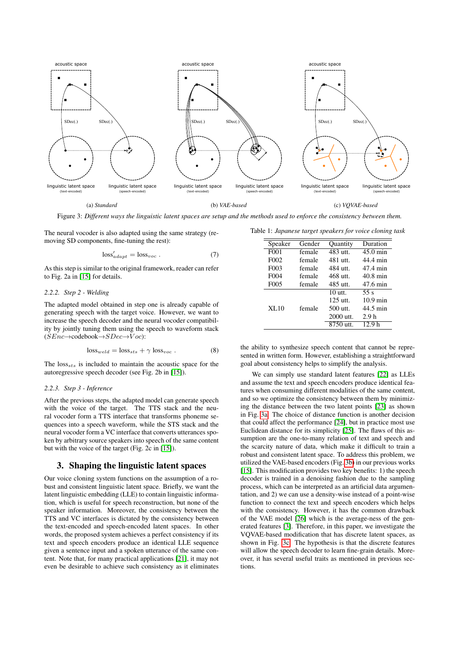<span id="page-2-1"></span>

Figure 3: *Different ways the linguistic latent spaces are setup and the methods used to enforce the consistency between them.*

The neural vocoder is also adapted using the same strategy (removing SD components, fine-tuning the rest):

$$
\text{loss}_{adapt}' = \text{loss}_{voc} . \tag{7}
$$

As this step is similar to the original framework, reader can refer to Fig. 2a in [\[15\]](#page-5-14) for details.

#### *2.2.2. Step 2 - Welding*

The adapted model obtained in step one is already capable of generating speech with the target voice. However, we want to increase the speech decoder and the neural vocoder compatibility by jointly tuning them using the speech to waveform stack  $(SEnc \rightarrow codebook \rightarrow SDec \rightarrow Voc)$ :

$$
loss_{weld} = loss_{sts} + \gamma loss_{voc} .
$$
 (8)

The  $loss_{sts}$  is included to maintain the acoustic space for the autoregressive speech decoder (see Fig. 2b in [\[15\]](#page-5-14)).

### *2.2.3. Step 3 - Inference*

After the previous steps, the adapted model can generate speech with the voice of the target. The TTS stack and the neural vocoder form a TTS interface that transforms phoneme sequences into a speech waveform, while the STS stack and the neural vocoder form a VC interface that converts utterances spoken by arbitrary source speakers into speech of the same content but with the voice of the target (Fig. 2c in [\[15\]](#page-5-14)).

# <span id="page-2-0"></span>3. Shaping the linguistic latent spaces

Our voice cloning system functions on the assumption of a robust and consistent linguistic latent space. Briefly, we want the latent linguistic embedding (LLE) to contain linguistic information, which is useful for speech reconstruction, but none of the speaker information. Moreover, the consistency between the TTS and VC interfaces is dictated by the consistency between the text-encoded and speech-encoded latent spaces. In other words, the proposed system achieves a perfect consistency if its text and speech encoders produce an identical LLE sequence given a sentence input and a spoken utterance of the same content. Note that, for many practical applications [\[21\]](#page-5-20), it may not even be desirable to achieve such consistency as it eliminates

<span id="page-2-2"></span>Table 1: *Japanese target speakers for voice cloning task*

| Speaker           | Gender | <b>Ouantity</b> | Duration           |
|-------------------|--------|-----------------|--------------------|
| F <sub>001</sub>  | female | 483 utt.        | $45.0 \text{ min}$ |
| F <sub>0</sub> 02 | female | 481 utt.        | 44.4 min           |
| F <sub>0</sub> 03 | female | 484 utt.        | 47.4 min           |
| F <sub>0</sub> 04 | female | 468 utt.        | $40.8$ min         |
| F <sub>0</sub> 05 | female | 485 utt.        | 47.6 min           |
|                   |        | $10$ utt.       | 55 s               |
|                   |        | $125$ utt.      | $10.9 \text{ min}$ |
| XL10              | female | 500 utt.        | 44.5 min           |
|                   |        | $2000$ utt.     | 2.9 <sub>h</sub>   |
|                   |        | 8750 utt.       | 12 9 հ             |

the ability to synthesize speech content that cannot be represented in written form. However, establishing a straightforward goal about consistency helps to simplify the analysis.

We can simply use standard latent features [\[22\]](#page-5-21) as LLEs and assume the text and speech encoders produce identical features when consuming different modalities of the same content, and so we optimize the consistency between them by minimizing the distance between the two latent points [\[23\]](#page-5-22) as shown in Fig. [3a.](#page-2-1) The choice of distance function is another decision that could affect the performance [\[24\]](#page-5-23), but in practice most use Euclidean distance for its simplicity [\[25\]](#page-5-24). The flaws of this assumption are the one-to-many relation of text and speech and the scarcity nature of data, which make it difficult to train a robust and consistent latent space. To address this problem, we utilized the VAE-based encoders (Fig. [3b\)](#page-2-1) in our previous works [\[15\]](#page-5-14). This modification provides two key benefits: 1) the speech decoder is trained in a denoising fashion due to the sampling process, which can be interpreted as an artificial data argumentation, and 2) we can use a density-wise instead of a point-wise function to connect the text and speech encoders which helps with the consistency. However, it has the common drawback of the VAE model [\[26\]](#page-5-25) which is the average-ness of the generated features [\[3\]](#page-5-2). Therefore, in this paper, we investigate the VQVAE-based modification that has discrete latent spaces, as shown in Fig. [3c.](#page-2-1) The hypothesis is that the discrete features will allow the speech decoder to learn fine-grain details. Moreover, it has several useful traits as mentioned in previous sections.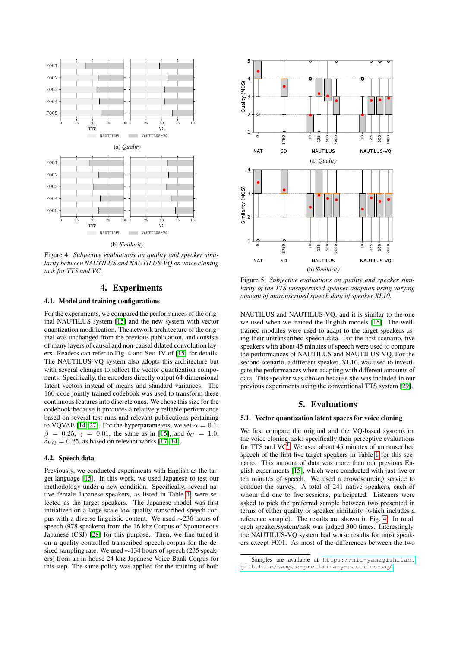<span id="page-3-3"></span>

Figure 4: *Subjective evaluations on quality and speaker similarity between NAUTILUS and NAUTILUS-VQ on voice cloning task for TTS and VC.*

### 4. Experiments

#### <span id="page-3-0"></span>4.1. Model and training configurations

For the experiments, we compared the performances of the original NAUTILUS system [\[15\]](#page-5-14) and the new system with vector quantization modification. The network architecture of the original was unchanged from the previous publication, and consists of many layers of causal and non-causal dilated convolution layers. Readers can refer to Fig. 4 and Sec. IV of [\[15\]](#page-5-14) for details. The NAUTILUS-VQ system also adopts this architecture but with several changes to reflect the vector quantization components. Specifically, the encoders directly output 64-dimensional latent vectors instead of means and standard variances. The 160-code jointly trained codebook was used to transform these continuous features into discrete ones. We chose this size for the codebook because it produces a relatively reliable performance based on several test-runs and relevant publications pertaining to VQVAE [\[14,](#page-5-13) [27\]](#page-5-26). For the hyperparameters, we set  $\alpha = 0.1$ ,  $β = 0.25, γ = 0.01$ , the same as in [\[15\]](#page-5-14), and  $δ<sub>C</sub> = 1.0$ ,  $\delta_{VQ} = 0.25$ , as based on relevant works [\[17,](#page-5-16) [14\]](#page-5-13).

### 4.2. Speech data

Previously, we conducted experiments with English as the target language [\[15\]](#page-5-14). In this work, we used Japanese to test our methodology under a new condition. Specifically, several native female Japanese speakers, as listed in Table [1,](#page-2-2) were selected as the target speakers. The Japanese model was first initialized on a large-scale low-quality transcribed speech corpus with a diverse linguistic content. We used ∼236 hours of speech (978 speakers) from the 16 khz Corpus of Spontaneous Japanese (CSJ) [\[28\]](#page-5-27) for this purpose. Then, we fine-tuned it on a quality-controlled transcribed speech corpus for the desired sampling rate. We used ∼134 hours of speech (235 speakers) from an in-house 24 khz Japanese Voice Bank Corpus for this step. The same policy was applied for the training of both

<span id="page-3-4"></span>

Figure 5: *Subjective evaluations on quality and speaker similarity of the TTS unsupervised speaker adaption using varying amount of untranscribed speech data of speaker XL10.*

NAUTILUS and NAUTILUS-VQ, and it is similar to the one we used when we trained the English models [\[15\]](#page-5-14). The welltrained modules were used to adapt to the target speakers using their untranscribed speech data. For the first scenario, five speakers with about 45 minutes of speech were used to compare the performances of NAUTILUS and NAUTILUS-VQ. For the second scenario, a different speaker, XL10, was used to investigate the performances when adapting with different amounts of data. This speaker was chosen because she was included in our previous experiments using the conventional TTS system [\[29\]](#page-5-28).

### 5. Evaluations

### <span id="page-3-1"></span>5.1. Vector quantization latent spaces for voice cloning

We first compare the original and the VQ-based systems on the voice cloning task: specifically their perceptive evaluations for TTS and  $VC<sup>1</sup>$  $VC<sup>1</sup>$  $VC<sup>1</sup>$ . We used about 45 minutes of untranscribed speech of the first five target speakers in Table [1](#page-2-2) for this scenario. This amount of data was more than our previous English experiments [\[15\]](#page-5-14), which were conducted with just five or ten minutes of speech. We used a crowdsourcing service to conduct the survey. A total of 241 native speakers, each of whom did one to five sessions, participated. Listeners were asked to pick the preferred sample between two presented in terms of either quality or speaker similarity (which includes a reference sample). The results are shown in Fig. [4.](#page-3-3) In total, each speaker/system/task was judged 300 times. Interestingly, the NAUTILUS-VQ system had worse results for most speakers except F001. As most of the differences between the two

<span id="page-3-2"></span><sup>1</sup>Samples are available at [https://nii-yamagishilab.](https://nii-yamagishilab.github.io/sample-preliminary-nautilus-vq/) [github.io/sample-preliminary-nautilus-vq/](https://nii-yamagishilab.github.io/sample-preliminary-nautilus-vq/)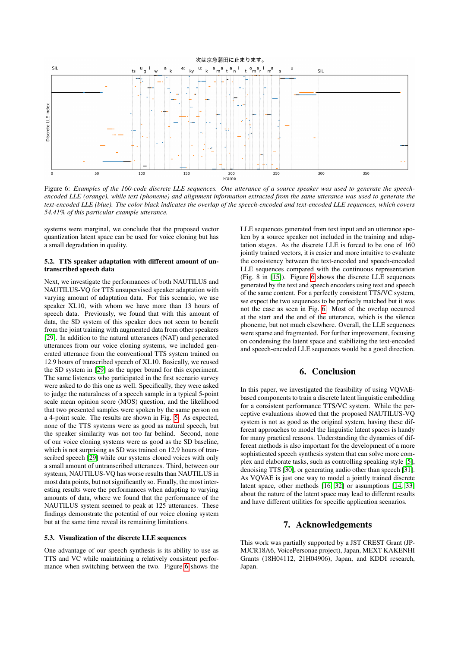<span id="page-4-1"></span>

Figure 6: *Examples of the 160-code discrete LLE sequences. One utterance of a source speaker was used to generate the speechencoded LLE (orange), while text (phoneme) and alignment information extracted from the same utterance was used to generate the text-encoded LLE (blue). The color black indicates the overlap of the speech-encoded and text-encoded LLE sequences, which covers 54.41% of this particular example utterance.*

systems were marginal, we conclude that the proposed vector quantization latent space can be used for voice cloning but has a small degradation in quality.

### 5.2. TTS speaker adaptation with different amount of untranscribed speech data

Next, we investigate the performances of both NAUTILUS and NAUTILUS-VQ for TTS unsupervised speaker adaptation with varying amount of adaptation data. For this scenario, we use speaker XL10, with whom we have more than 13 hours of speech data. Previously, we found that with this amount of data, the SD system of this speaker does not seem to benefit from the joint training with augmented data from other speakers [\[29\]](#page-5-28). In addition to the natural utterances (NAT) and generated utterances from our voice cloning systems, we included generated utterance from the conventional TTS system trained on 12.9 hours of transcribed speech of XL10. Basically, we reused the SD system in [\[29\]](#page-5-28) as the upper bound for this experiment. The same listeners who participated in the first scenario survey were asked to do this one as well. Specifically, they were asked to judge the naturalness of a speech sample in a typical 5-point scale mean opinion score (MOS) question, and the likelihood that two presented samples were spoken by the same person on a 4-point scale. The results are shown in Fig. [5.](#page-3-4) As expected, none of the TTS systems were as good as natural speech, but the speaker similarity was not too far behind. Second, none of our voice cloning systems were as good as the SD baseline, which is not surprising as SD was trained on 12.9 hours of transcribed speech [\[29\]](#page-5-28) while our systems cloned voices with only a small amount of untranscribed utterances. Third, between our systems, NAUTILUS-VQ has worse results than NAUTILUS in most data points, but not significantly so. Finally, the most interesting results were the performances when adapting to varying amounts of data, where we found that the performance of the NAUTILUS system seemed to peak at 125 utterances. These findings demonstrate the potential of our voice cloning system but at the same time reveal its remaining limitations.

#### 5.3. Visualization of the discrete LLE sequences

One advantage of our speech synthesis is its ability to use as TTS and VC while maintaining a relatively consistent performance when switching between the two. Figure [6](#page-4-1) shows the

LLE sequences generated from text input and an utterance spoken by a source speaker not included in the training and adaptation stages. As the discrete LLE is forced to be one of 160 jointly trained vectors, it is easier and more intuitive to evaluate the consistency between the text-encoded and speech-encoded LLE sequences compared with the continuous representation (Fig. 8 in [\[15\]](#page-5-14)). Figure [6](#page-4-1) shows the discrete LLE sequences generated by the text and speech encoders using text and speech of the same content. For a perfectly consistent TTS/VC system, we expect the two sequences to be perfectly matched but it was not the case as seen in Fig. [6.](#page-4-1) Most of the overlap occurred at the start and the end of the utterance, which is the silence phoneme, but not much elsewhere. Overall, the LLE sequences were sparse and fragmented. For further improvement, focusing on condensing the latent space and stabilizing the text-encoded and speech-encoded LLE sequences would be a good direction.

### 6. Conclusion

<span id="page-4-0"></span>In this paper, we investigated the feasibility of using VQVAEbased components to train a discrete latent linguistic embedding for a consistent performance TTS/VC system. While the perceptive evaluations showed that the proposed NAUTILUS-VQ system is not as good as the original system, having these different approaches to model the linguistic latent spaces is handy for many practical reasons. Understanding the dynamics of different methods is also important for the development of a more sophisticated speech synthesis system that can solve more complex and elaborate tasks, such as controlling speaking style [\[5\]](#page-5-4), denoising TTS [\[30\]](#page-5-29), or generating audio other than speech [\[31\]](#page-5-30). As VQVAE is just one way to model a jointly trained discrete latent space, other methods [\[16,](#page-5-15) [32\]](#page-5-31) or assumptions [\[14,](#page-5-13) [33\]](#page-5-32) about the nature of the latent space may lead to different results and have different utilities for specific application scenarios.

### 7. Acknowledgements

This work was partially supported by a JST CREST Grant (JP-MJCR18A6, VoicePersonae project), Japan, MEXT KAKENHI Grants (18H04112, 21H04906), Japan, and KDDI research, Japan.